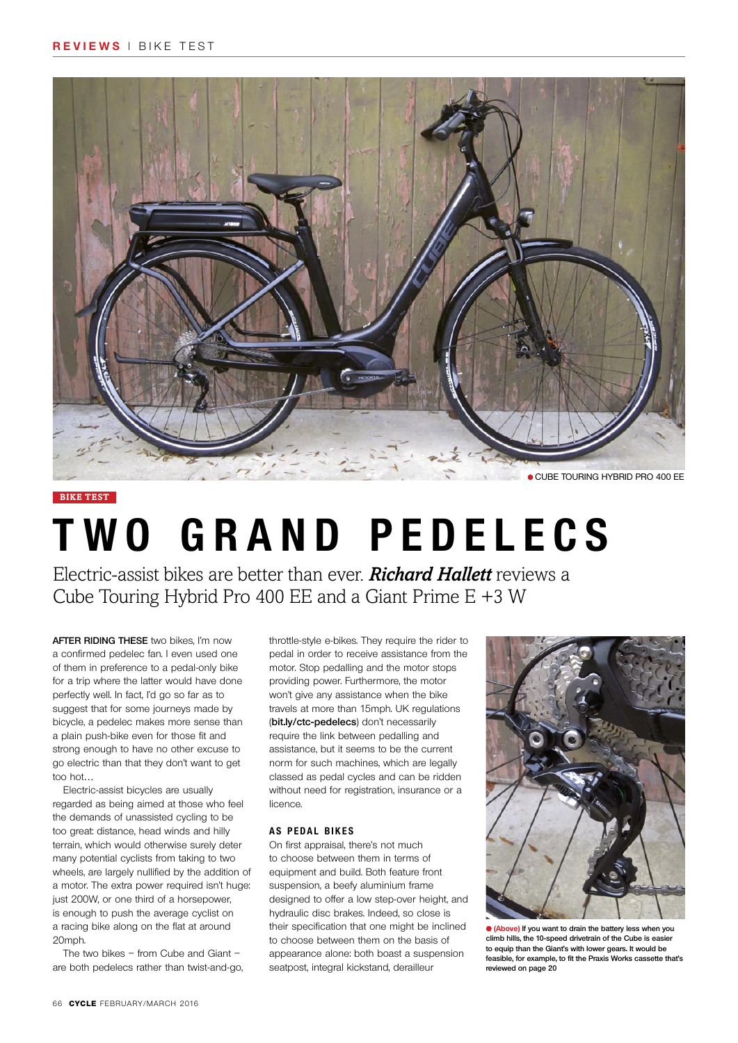

#### **bike test**

# **Two grand pedelecs**

Electric-assist bikes are better than ever. *Richard Hallett* reviews a Cube Touring Hybrid Pro 400 EE and a Giant Prime E +3 W

**After riding these** two bikes, I'm now a confirmed pedelec fan. I even used one of them in preference to a pedal-only bike for a trip where the latter would have done perfectly well. In fact, I'd go so far as to suggest that for some journeys made by bicycle, a pedelec makes more sense than a plain push-bike even for those fit and strong enough to have no other excuse to go electric than that they don't want to get too hot…

 Electric-assist bicycles are usually regarded as being aimed at those who feel the demands of unassisted cycling to be too great: distance, head winds and hilly terrain, which would otherwise surely deter many potential cyclists from taking to two wheels, are largely nullified by the addition of a motor. The extra power required isn't huge: just 200W, or one third of a horsepower, is enough to push the average cyclist on a racing bike along on the flat at around 20mph

The two bikes – from Cube and Giant – are both pedelecs rather than twist-and-go, throttle-style e-bikes. They require the rider to pedal in order to receive assistance from the motor. Stop pedalling and the motor stops providing power. Furthermore, the motor won't give any assistance when the bike travels at more than 15mph. UK regulations (**bit.ly/ctc-pedelecs**) don't necessarily require the link between pedalling and assistance, but it seems to be the current norm for such machines, which are legally classed as pedal cycles and can be ridden without need for registration, insurance or a licence.

#### **A s pedal bikes**

On first appraisal, there's not much to choose between them in terms of equipment and build. Both feature front suspension, a beefy aluminium frame designed to offer a low step-over height, and hydraulic disc brakes. Indeed, so close is their specification that one might be inclined to choose between them on the basis of appearance alone: both boast a suspension seatpost, integral kickstand, derailleur



**(Above) If you want to drain the battery less when you climb hills, the 10-speed drivetrain of the Cube is easier to equip than the Giant's with lower gears. It would be feasible, for example, to fit the Praxis Works cassette that's reviewed on page 20**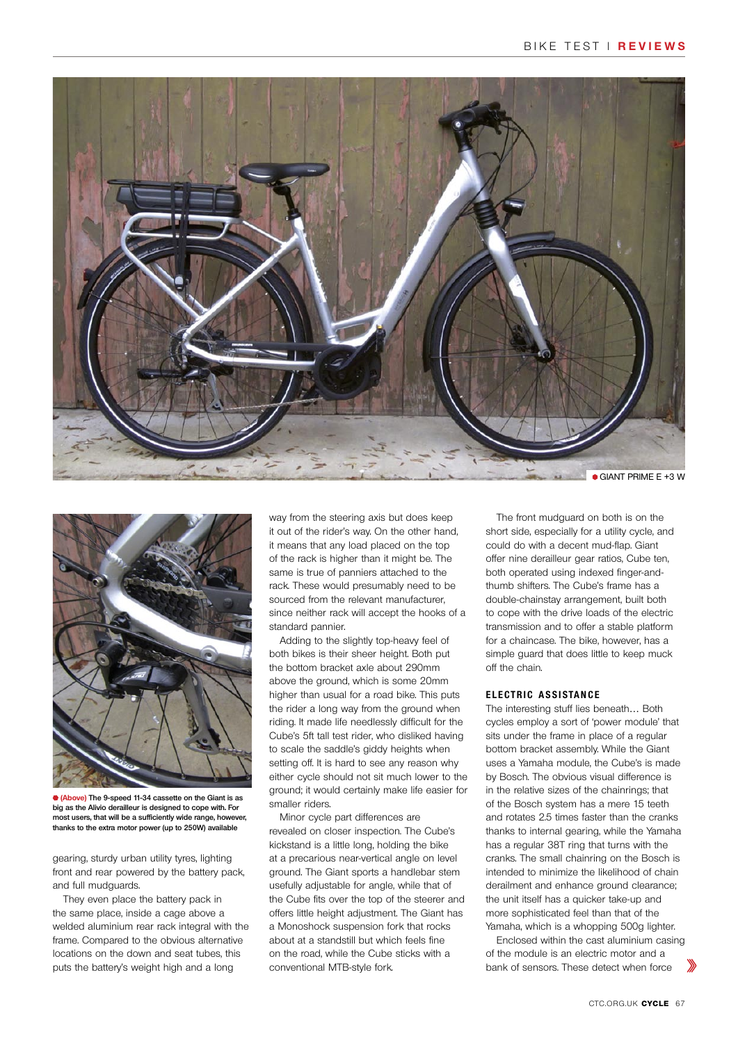



**(Above) The 9-speed 11-34 cassette on the Giant is as big as the Alivio derailleur is designed to cope with. For most users, that will be a sufficiently wide range, however, thanks to the extra motor power (up to 250W) available**

gearing, sturdy urban utility tyres, lighting front and rear powered by the battery pack, and full mudguards.

They even place the battery pack in the same place, inside a cage above a welded aluminium rear rack integral with the frame. Compared to the obvious alternative locations on the down and seat tubes, this puts the battery's weight high and a long

way from the steering axis but does keep it out of the rider's way. On the other hand, it means that any load placed on the top of the rack is higher than it might be. The same is true of panniers attached to the rack. These would presumably need to be sourced from the relevant manufacturer, since neither rack will accept the hooks of a standard pannier.

 Adding to the slightly top-heavy feel of both bikes is their sheer height. Both put the bottom bracket axle about 290mm above the ground, which is some 20mm higher than usual for a road bike. This puts the rider a long way from the ground when riding. It made life needlessly difficult for the Cube's 5ft tall test rider, who disliked having to scale the saddle's giddy heights when setting off. It is hard to see any reason why either cycle should not sit much lower to the ground; it would certainly make life easier for smaller riders.

Minor cycle part differences are revealed on closer inspection. The Cube's kickstand is a little long, holding the bike at a precarious near-vertical angle on level ground. The Giant sports a handlebar stem usefully adjustable for angle, while that of the Cube fits over the top of the steerer and offers little height adjustment. The Giant has a Monoshock suspension fork that rocks about at a standstill but which feels fine on the road, while the Cube sticks with a conventional MTB-style fork.

The front mudguard on both is on the short side, especially for a utility cycle, and could do with a decent mud-flap. Giant offer nine derailleur gear ratios, Cube ten, both operated using indexed finger-andthumb shifters. The Cube's frame has a double-chainstay arrangement, built both to cope with the drive loads of the electric transmission and to offer a stable platform for a chaincase. The bike, however, has a simple guard that does little to keep muck off the chain.

#### **E lect ric assistance**

The interesting stuff lies beneath… Both cycles employ a sort of 'power module' that sits under the frame in place of a regular bottom bracket assembly. While the Giant uses a Yamaha module, the Cube's is made by Bosch. The obvious visual difference is in the relative sizes of the chainrings; that of the Bosch system has a mere 15 teeth and rotates 2.5 times faster than the cranks thanks to internal gearing, while the Yamaha has a regular 38T ring that turns with the cranks. The small chainring on the Bosch is intended to minimize the likelihood of chain derailment and enhance ground clearance; the unit itself has a quicker take-up and more sophisticated feel than that of the Yamaha, which is a whopping 500g lighter.

 Enclosed within the cast aluminium casing of the module is an electric motor and a bank of sensors. These detect when force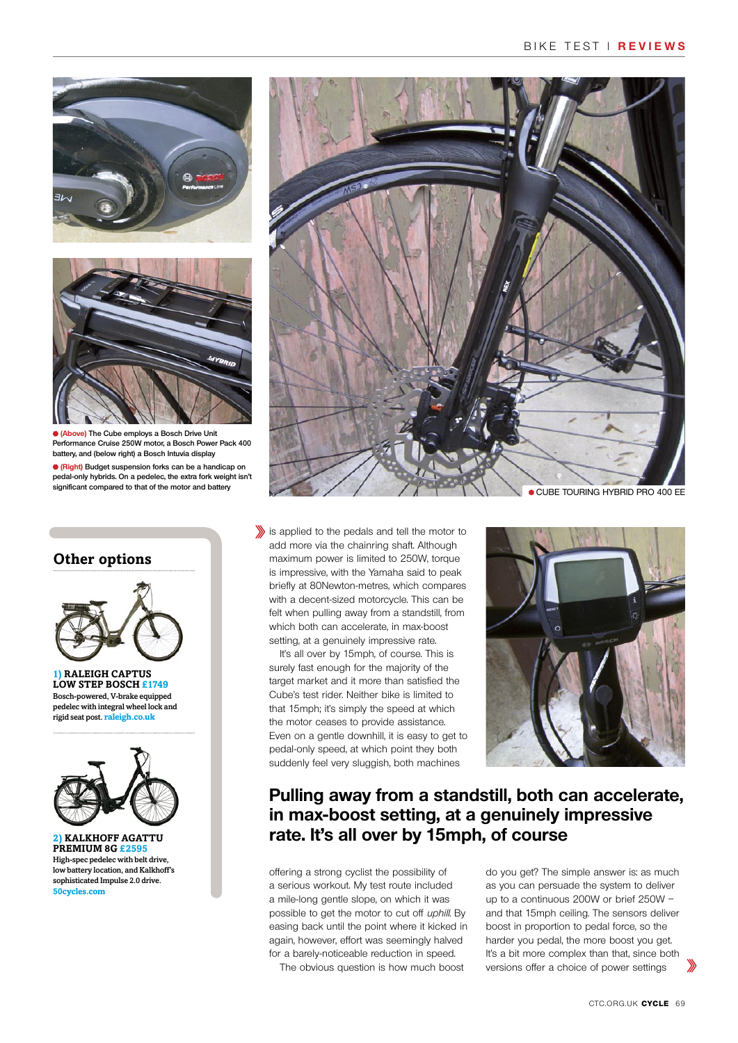



**(Above) The Cube employs a Bosch Drive Unit Performance Cruise 250W motor, a Bosch Power Pack 400 battery, and (below right) a Bosch Intuvia display**

**(Right) Budget suspension forks can be a handicap on pedal-only hybrids. On a pedelec, the extra fork weight isn't significant compared to that of the motor and battery**

## **Other options**



**1) Raleigh Captus Low Step Bosch £1749** Bosch-powered, V-brake equipped pedelec with integral wheel lock and rigid seat post. **raleigh.co.uk**



**2) Kalkhoff Agattu Premium 8G £2595** High-spec pedelec with belt drive, low battery location, and Kalkhoff's sophisticated Impulse 2.0 drive. **50cycles.com**



is applied to the pedals and tell the motor to add more via the chainring shaft. Although maximum power is limited to 250W, torque is impressive, with the Yamaha said to peak briefly at 80Newton-metres, which compares with a decent-sized motorcycle. This can be felt when pulling away from a standstill, from which both can accelerate, in max-boost setting, at a genuinely impressive rate.

It's all over by 15mph, of course. This is surely fast enough for the majority of the target market and it more than satisfied the Cube's test rider. Neither bike is limited to that 15mph; it's simply the speed at which the motor ceases to provide assistance. Even on a gentle downhill, it is easy to get to pedal-only speed, at which point they both suddenly feel very sluggish, both machines



## **Pulling away from a standstill, both can accelerate, in max-boost setting, at a genuinely impressive rate. It's all over by 15mph, of course**

offering a strong cyclist the possibility of a serious workout. My test route included a mile-long gentle slope, on which it was possible to get the motor to cut off uphill. By easing back until the point where it kicked in again, however, effort was seemingly halved for a barely-noticeable reduction in speed.

The obvious question is how much boost

do you get? The simple answer is: as much as you can persuade the system to deliver up to a continuous 200W or brief 250W – and that 15mph ceiling. The sensors deliver boost in proportion to pedal force, so the harder you pedal, the more boost you get. It's a bit more complex than that, since both versions offer a choice of power settings